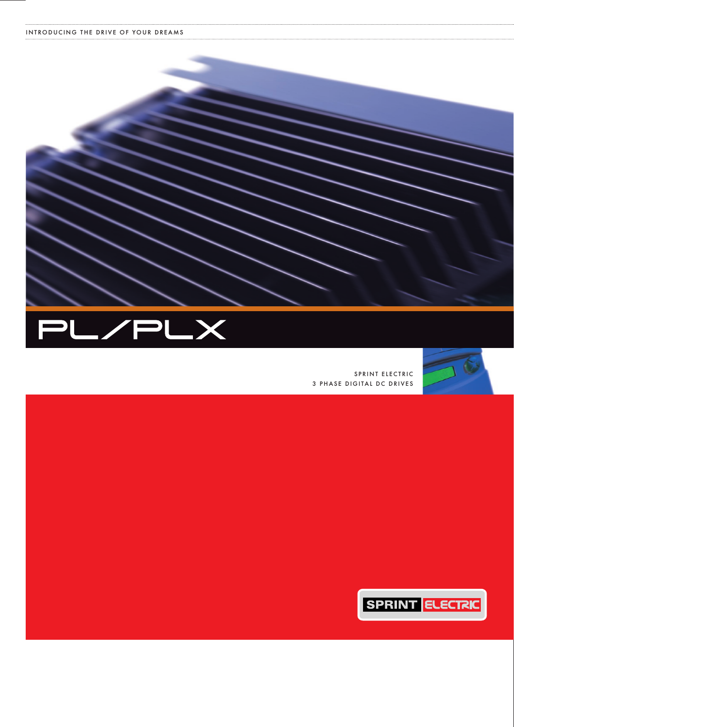



SPRINT ELECTRIC 3 PHASE DIGITAL DC DRIVES



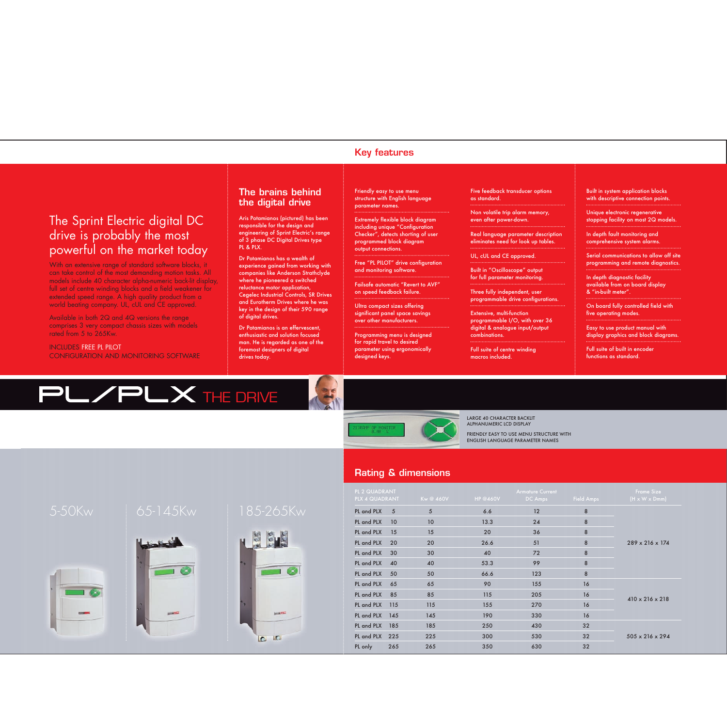#### **Key features**

## The Sprint Electric digital DC drive is probably the most powerful on the market today

With an extensive range of standard software blocks, it can take control of the most demanding motion tasks. All models include 40 character alpha-numeric back-lit display, full set of centre winding blocks and a field weakener for extended speed range. A high quality product from a world beating company. UL, cUL and CE approved.

Available in both 2Q and 4Q versions the range comprises 3 very compact chassis sizes with models rated from 5 to 265Kw.

#### INCLUDES FREE PL PILOT CONFIGURATION AND MONITORING SOFTWARE

#### **The brains behind the digital drive**

Aris Potamianos (pictured) has been responsible for the design and engineering of Sprint Electric's range of 3 phase DC Digital Drives type PL & PLX.

Dr Potamianos has a wealth of experience gained from working with companies like Anderson Strathclyde where he pioneered a switched reluctance motor application, Cegelec Industrial Controls, SR Drives and Eurotherm Drives where he was key in the design of their 590 range of digital drives.

Dr Potamianos is an effervescent, enthusiastic and solution focused man. He is regarded as one of the foremost designers of digital drives today.

Friendly easy to use menu structure with English language parameter names.

Extremely flexible block diagram including unique "Configuration Checker", detects shorting of user programmed block diagram output connections.

Free "PL PILOT" drive configuration and monitoring software.

Failsafe automatic "Revert to AVF" on speed feedback failure.

Ultra compact sizes offering significant panel space savings over other manufacturers.

Programming menu is designed for rapid travel to desired parameter using ergonomically designed keys.

Five feedback transducer options as standard.

Non volatile trip alarm memory, even after power-down.

Real language parameter description eliminates need for look up tables.

UL, cUL and CE approved.

Built in "Oscilloscope" output for full parameter monitoring.

Three fully independent, user programmable drive configurations.

Extensive, multi-function programmable I/O, with over 36 digital & analogue input/output combinations.

Full suite of centre winding macros included.

Built in system application blocks with descriptive connection points.

Unique electronic regenerative stopping facility on most 2Q models.

In depth fault monitoring and comprehensive system alarms.

Serial communications to allow off site programming and remote diagnostics.

In depth diagnostic facility available from on board display & "in-built meter".

On board fully controlled field with five operating modes.

Easy to use product manual with display graphics and block diagrams.

Full suite of built in encoder functions as standard.

# PL/PLX THE DRIVE



LARGE 40 CHARACTER BACKLIT ALPHANUMERIC LCD DISPLAY

FRIENDLY EASY TO USE MENU STRUCTURE WITH ENGLISH LANGUAGE PARAMETER NAMES

#### **Rating & dimensions**

| PL 2 QUADRANT<br>PLX 4 QUADRANT |     | Kw @ 460V | <b>HP @460V</b> | <b>Armature Current</b><br>DC Amps | Field Amps | Frame Size<br>$(H \times W \times Dmm)$ |
|---------------------------------|-----|-----------|-----------------|------------------------------------|------------|-----------------------------------------|
| PL and PLX                      | 5   | 5         | 6.6             | 12                                 | 8          | $289 \times 216 \times 174$             |
| PL and PLX                      | 10  | 10        | 13.3            | 24                                 | 8          |                                         |
| PL and PLX                      | 15  | 15        | 20              | 36                                 | 8          |                                         |
| PL and PLX                      | 20  | 20        | 26.6            | 51                                 | 8          |                                         |
| PL and PLX                      | 30  | 30        | 40              | 72                                 | 8          |                                         |
| PL and PLX                      | 40  | 40        | 53.3            | 99                                 | 8          |                                         |
| PL and PLX                      | 50  | 50        | 66.6            | 123                                | 8          |                                         |
| PL and PLX                      | 65  | 65        | 90              | 155                                | 16         | $410 \times 216 \times 218$             |
| PL and PLX                      | 85  | 85        | 115             | 205                                | 16         |                                         |
| PL and PLX                      | 115 | 115       | 155             | 270                                | 16         |                                         |
| PL and PLX                      | 145 | 145       | 190             | 330                                | 16         |                                         |
| PL and PLX                      | 185 | 185       | 250             | 430                                | 32         | $505 \times 216 \times 294$             |
| PL and PLX                      | 225 | 225       | 300             | 530                                | 32         |                                         |
| PL only                         | 265 | 265       | 350             | 630                                | 32         |                                         |











 $00$ 

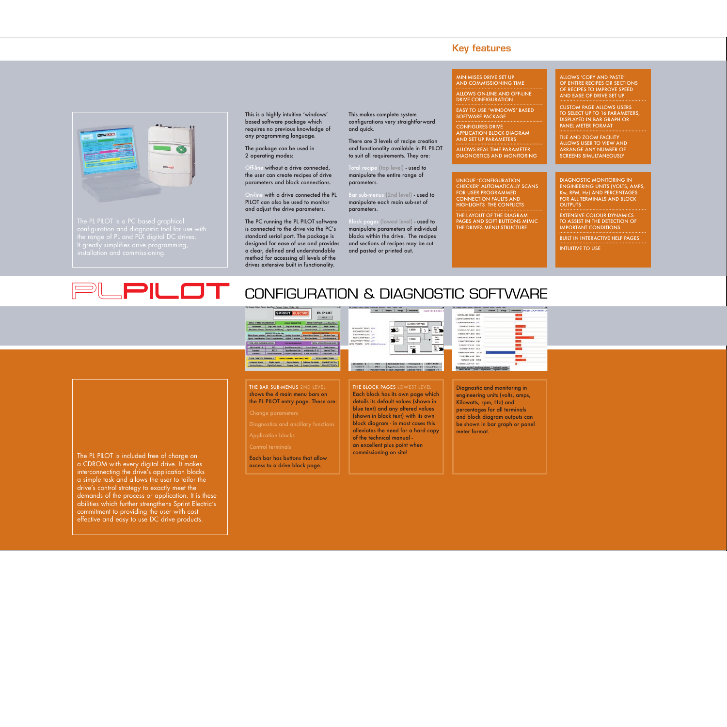

The PL PILOT is a PC based graphical  $\sim$  contribution and diagnostic tool for use with  $\sim$  This is a highly intuitive 'windows' based software package which requires no previous knowledge of any programming language.

The package can be used in 2 operating modes:

without a drive connected, the user can create recipes of drive parameters and block connections.

with a drive connected the PL PILOT can also be used to monitor and adjust the drive parameters.

The PC running the PL PILOT software is connected to the drive via the PC's standard serial port. The package is designed for ease of use and provides a clear, defined and understandable method for accessing all levels of the drives extensive built in functionality.

THE BAR SUB-MENUS 2ND LEVEL shows the 4 main menu bars on the PL PILOT entry page. These are:

Each bar has buttons that allow access to a drive block page.

This makes complete system configurations very straightforward and quick.

There are 3 levels of recipe creation and functionality available in PL PILOT to suit all requirements. They are:

Total recipe (top level) - used to manipulate the entire range of parameters.

Bar sub-menus (2nd level) - used to manipulate each main sub-set of parameters.

Block pages (lowest level) - used to manipulate parameters of individual blocks within the drive. The recipes and sections of recipes may be cut and pasted or printed out.

#### **Key features**

MINIMISES DRIVE SET UP AND COMMISSIONING TIME ALLOWS ON-LINE AND OFF-LINE DRIVE CONFIGURATION

EASY TO USE 'WINDOWS' BASED SOFTWARE PACKAGE

CONFIGURES DRIVE APPLICATION BLOCK DIAGRAM AND SET UP PARAMETERS

ALLOWS REAL TIME PARAMETER DIAGNOSTICS AND MONITORING

UNIQUE 'CONFIGURATION CHECKER' AUTOMATICALLY SCANS FOR USER PROGRAMMED CONNECTION FAULTS AND HIGHLIGHTS THE CONFLICTS

THE LAYOUT OF THE DIAGRAM PAGES AND SOFT BUTTONS MIMIC THE DRIVES MENU STRUCTURE

ALLOWS 'COPY AND PASTE' OF ENTIRE RECIPES OR SECTIONS OF RECIPES TO IMPROVE SPEED AND EASE OF DRIVE SET UP

CUSTOM PAGE ALLOWS USERS TO SELECT UP TO 16 PARAMETERS. DISPLAYED IN BAR GRAPH OR PANEL METER FORMAT

TILE AND ZOOM FACILITY ALLOWS USER TO VIEW AND ARRANGE ANY NUMBER OF SCREENS SIMULTANEOUSLY

DIAGNOSTIC MONITORING IN ENGINEERING UNITS (VOLTS, AMPS, Kw, RPM, Hz) AND PERCENTAGES FOR ALL TERMINALS AND BLOCK **OUTPUTS** 

**EXTENSIVE COLOUR DYNAMICS** TO ASSIST IN THE DETECTION OF IMPORTANT CONDITIONS

BUILT IN INTERACTIVE HELP PAGES

INTUITIVE TO USE

#### PLPILOT CONFIGURATION & DIAGNOSTIC SOFTWARE

THE BLOCK PAGES LOWEST LEVEL Each block has its own page which details its default values (shown in blue text) and any altered values (shown in black text) with its own block diagram - in most cases this alleviates the need for a hard copy of the technical manual an excellent plus point when commissioning on site!





#### Diagnostic and monitoring in engineering units (volts, amps, Kilowatts, rpm, Hz) and percentages for all terminals and block diagram outputs can be shown in bar graph or panel meter format.

The PL PILOT is included free of charge on a CDROM with every digital drive. It makes interconnecting the drive's application blocks a simple task and allows the user to tailor the drive's control strategy to exactly meet the demands of the process or application. It is these abilities which further strengthens Sprint Electric's commitment to providing the user with cost effective and easy to use DC drive products.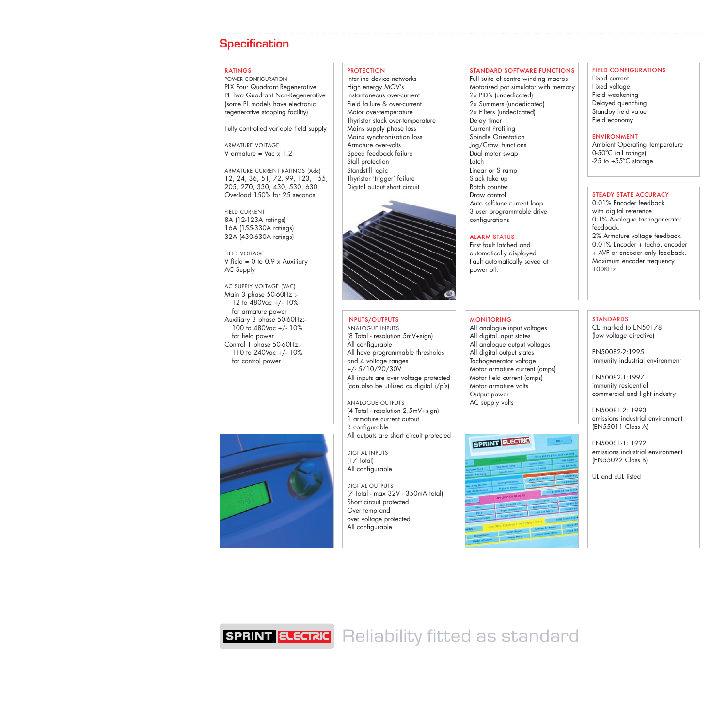### **Specification**

#### RATINGS

POWER CONFIGURATION PLX Four Quadrant Regenerative PL Two Quadrant Non-Regenerative (some PL models have electronic regenerative stopping facility)

Fully controlled variable field supply

ARMATURE VOLTAGE V armature =  $Vac \times 1.2$ 

ARMATURE CURRENT RATINGS (Adc) 12, 24, 36, 51, 72, 99, 123, 155, 205, 270, 330, 430, 530, 630 Overload 150% for 25 seconds

FIELD CURRENT 8A (12-123A ratings) 16A (155-330A ratings) 32A (430-630A ratings)

FIELD VOLTAGE V field = 0 to 0.9 x Auxiliary AC Supply

AC SUPPLY VOLTAGE (VAC) Main 3 phase 50-60Hz :- 12 to 480Vac +/- 10% for armature power Auxiliary 3 phase 50-60Hz:- 100 to 480Vac +/- 10% for field power Control 1 phase 50-60Hz:- 110 to 240Vac +/- 10% for control power



#### **PROTECTION**

Interline device networks High energy MOV's Instantaneous over-current Field failure & over-current Motor over-temperature Thyristor stack over-temperature Mains supply phase loss Mains synchronisation loss Armature over-volts Speed feedback failure Stall protection Standstill logic Thyristor 'trigger' failure Digital output short circuit



#### INPUTS/OUTPUTS

ANALOGUE INPUTS (8 Total - resolution 5mV+sign) All configurable All have programmable thresholds and 4 voltage ranges +/- 5/10/20/30V All inputs are over voltage protected (can also be utilised as digital i/p's)

ANALOGUE OUTPUTS (4 Total - resolution 2.5mV+sign) 1 armature current output 3 configurable All outputs are short circuit protected

DIGITAL INPUTS (17 Total) All configurable

DIGITAL OUTPUTS (7 Total - max 32V - 350mA total) Short circuit protected Over temp and over voltage protected All configurable

#### STANDARD SOFTWARE FUNCTIONS

Full suite of centre winding macros Motorised pot simulator with memory 2x PID's (undedicated) 2x Summers (undedicated) 2x Filters (undedicated) Delay timer Current Profiling Spindle Orientation Jog/Crawl functions Dual motor swap Latch Linear or S ramp Slack take up Batch counter Draw control Auto self-tune current loop 3 user programmable drive configurations

#### ALARM STATUS

First fault latched and automatically displayed. Fault automatically saved at power off.

#### MONITORING

All analogue input voltages All digital input states All analogue output voltages All digital output states Tachogenerator voltage Motor armature current (amps) Motor field current (amps) Motor armature volts Output power AC supply volts



#### FIELD CONFIGURATIONS

Fixed current Fixed voltage Field weakening Delayed quenching Standby field value Field economy

#### ENVIRONMENT

Ambient Operating Temperature 0-50°C (all ratings)  $-25$  to  $+55^{\circ}$ C storage

#### STEADY STATE ACCURACY

0.01% Encoder feedback with digital reference. 0.1% Analogue tachogenerator feedback. 2% Armature voltage feedback. 0.01% Encoder + tacho, encoder + AVF or encoder only feedback. Maximum encoder frequency 100KHz

#### **STANDARDS**

CE marked to EN50178 (low voltage directive)

EN50082-2:1995 immunity industrial environment

EN50082-1:1997 immunity residential commercial and light industry

EN50081-2: 1993 emissions industrial environment (EN55011 Class A)

EN50081-1: 1992 emissions industrial environment (EN55022 Class B)

UL and cUL listed

**SPRINT ELECTRIC** Reliability fitted as standard